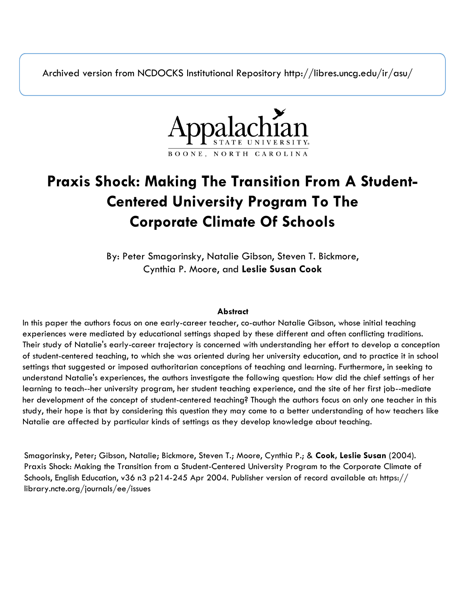Archived version from NCDOCKS Institutional Repository http://libres.uncg.edu/ir/asu/



# **Praxis Shock: Making The Transition From A Student-Centered University Program To The Corporate Climate Of Schools**

By: Peter Smagorinsky, Natalie Gibson, Steven T. Bickmore, Cynthia P. Moore, and **Leslie Susan Cook**

### **Abstract**

In this paper the authors focus on one early-career teacher, co-author Natalie Gibson, whose initial teaching experiences were mediated by educational settings shaped by these different and often conflicting traditions. Their study of Natalie's early-career trajectory is concerned with understanding her effort to develop a conception of student-centered teaching, to which she was oriented during her university education, and to practice it in school settings that suggested or imposed authoritarian conceptions of teaching and learning. Furthermore, in seeking to understand Natalie's experiences, the authors investigate the following question: How did the chief settings of her learning to teach--her university program, her student teaching experience, and the site of her first job--mediate her development of the concept of student-centered teaching? Though the authors focus on only one teacher in this study, their hope is that by considering this question they may come to a better understanding of how teachers like Natalie are affected by particular kinds of settings as they develop knowledge about teaching.

Smagorinsky, Peter; Gibson, Natalie; Bickmore, Steven T.; Moore, Cynthia P.; & **Cook, Leslie Susan** (2004). Praxis Shock: Making the Transition from a Student-Centered University Program to the Corporate Climate of Schools, English Education, v36 n3 p214-245 Apr 2004. Publisher version of record available at: https:// library.ncte.org/journals/ee/issues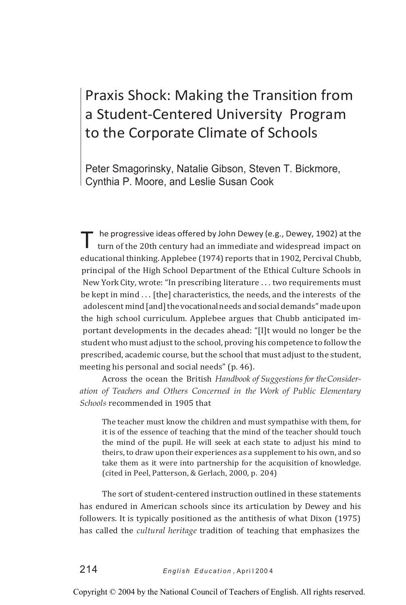## Praxis Shock: Making the Transition from a Student-Centered University Program to the Corporate Climate of Schools

Peter Smagorinsky, Natalie Gibson, Steven T. Bickmore, Cynthia P. Moore, and Leslie Susan Cook

T he progressive ideas offered by John Dewey (e.g., Dewey, 1902) at the turn of the 20th century had an immediate and widespread impact on educational thinking. Applebee (1974) reports that in 1902, Percival Chubb, principal of the High School Department of the Ethical Culture Schools in New York City, wrote: "In prescribing literature . . . two requirements must be kept in mind . . . [the] characteristics, the needs, and the interests of the adolescent mind [and] the vocational needs and social demands" made upon the high school curriculum. Applebee argues that Chubb anticipated important developments in the decades ahead: "[I]t would no longer be the student who must adjust to the school, proving his competence to follow the prescribed, academic course, but the school that must adjust to the student, meeting his personal and social needs" (p. 46).

Across the ocean the British *Handbook of Suggestions for theConsideration of Teachers and Others Concerned in the Work of Public Elementary Schools* recommended in 1905 that

The teacher must know the children and must sympathise with them, for it is of the essence of teaching that the mind of the teacher should touch the mind of the pupil. He will seek at each state to adjust his mind to theirs, to draw upon their experiences as a supplement to his own, and so take them as it were into partnership for the acquisition of knowledge. (cited in Peel, Patterson, & Gerlach, 2000, p. 204)

The sort of student-centered instruction outlined in these statements has endured in American schools since its articulation by Dewey and his followers. It is typically positioned as the antithesis of what Dixon (1975) has called the *cultural heritage* tradition of teaching that emphasizes the

Copyright © 2004 by the National Council of Teachers of English. All rights reserved.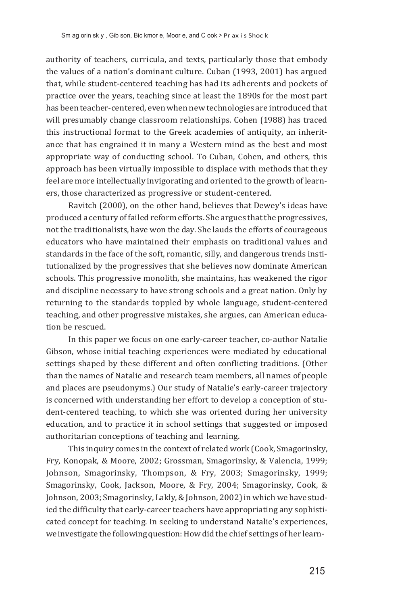authority of teachers, curricula, and texts, particularly those that embody the values of a nation's dominant culture. Cuban (1993, 2001) has argued that, while student-centered teaching has had its adherents and pockets of practice over the years, teaching since at least the 1890s for the most part has been teacher-centered, evenwhen newtechnologies are introduced that will presumably change classroom relationships. Cohen (1988) has traced this instructional format to the Greek academies of antiquity, an inheritance that has engrained it in many a Western mind as the best and most appropriate way of conducting school. To Cuban, Cohen, and others, this approach has been virtually impossible to displace with methods that they feel are more intellectually invigorating and oriented to the growth of learners, those characterized as progressive or student-centered.

Ravitch (2000), on the other hand, believes that Dewey's ideas have produced a century of failed reform efforts. She argues that the progressives, not the traditionalists, have won the day. She lauds the efforts of courageous educators who have maintained their emphasis on traditional values and standards in the face of the soft, romantic, silly, and dangerous trends institutionalized by the progressives that she believes now dominate American schools. This progressive monolith, she maintains, has weakened the rigor and discipline necessary to have strong schools and a great nation. Only by returning to the standards toppled by whole language, student-centered teaching, and other progressive mistakes, she argues, can American education be rescued.

In this paper we focus on one early-career teacher, co-author Natalie Gibson, whose initial teaching experiences were mediated by educational settings shaped by these different and often conflicting traditions. (Other than the names of Natalie and research team members, all names of people and places are pseudonyms.) Our study of Natalie's early-career trajectory is concerned with understanding her effort to develop a conception of student-centered teaching, to which she was oriented during her university education, and to practice it in school settings that suggested or imposed authoritarian conceptions of teaching and learning.

This inquiry comes in the context of related work (Cook, Smagorinsky, Fry, Konopak, & Moore, 2002; Grossman, Smagorinsky, & Valencia, 1999; Johnson, Smagorinsky, Thompson, & Fry, 2003; Smagorinsky, 1999; Smagorinsky, Cook, Jackson, Moore, & Fry, 2004; Smagorinsky, Cook, & Johnson, 2003; Smagorinsky, Lakly, & Johnson, 2002) in which we have studied the difficulty that early-career teachers have appropriating any sophisticated concept for teaching. In seeking to understand Natalie's experiences, we investigate the following question: How did the chief settings of her learn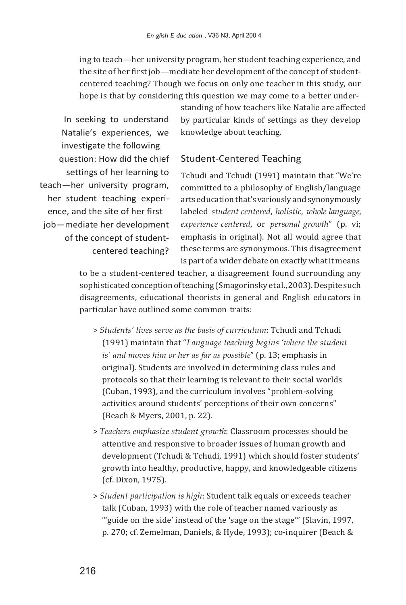ing to teach—her university program, her student teaching experience, and the site of her first job—mediate her development of the concept of studentcentered teaching? Though we focus on only one teacher in this study, our hope is that by considering this question we may come to a better under-

In seeking to understand Natalie's experiences, we investigate the following question: How did the chief settings of her learning to teach—her university program, her student teaching experience, and the site of her first job—mediate her development of the concept of studentcentered teaching?

standing of how teachers like Natalie are affected by particular kinds of settings as they develop knowledge about teaching.

### Student-Centered Teaching

Tchudi and Tchudi (1991) maintain that "We're committed to a philosophy of English/language arts education that's variouslyandsynonymously labeled *student centered*, *holistic*, *whole language*, *experience centered*, or *personal growth*" (p. vi; emphasis in original). Not all would agree that these terms are synonymous. This disagreement is part of a wider debate on exactly what it means

to be a student-centered teacher, a disagreement found surrounding any sophisticated conception of teaching (Smagorinsky et al., 2003). Despite such disagreements, educational theorists in general and English educators in particular have outlined some common traits:

- > *Students' lives serve as the basis of curriculum*: Tchudi and Tchudi (1991) maintain that "*Language teaching begins 'where the student is' and moves him or her as far as possible*" (p. 13; emphasis in original). Students are involved in determining class rules and protocols so that their learning is relevant to their social worlds (Cuban, 1993), and the curriculum involves "problem-solving activities around students' perceptions of their own concerns" (Beach & Myers, 2001, p. 22).
- > *Teachers emphasize student growth*: Classroom processes should be attentive and responsive to broader issues of human growth and development (Tchudi & Tchudi, 1991) which should foster students' growth into healthy, productive, happy, and knowledgeable citizens (cf. Dixon, 1975).
- > *Student participation is high*: Student talk equals or exceeds teacher talk (Cuban, 1993) with the role of teacher named variously as "'guide on the side' instead of the 'sage on the stage'" (Slavin, 1997, p. 270; cf. Zemelman, Daniels, & Hyde, 1993); co-inquirer (Beach &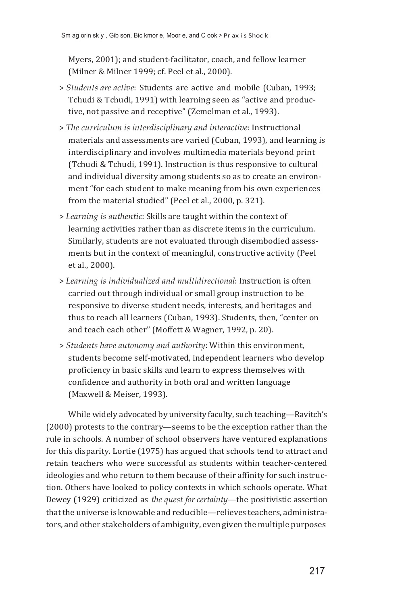Myers, 2001); and student-facilitator, coach, and fellow learner (Milner & Milner 1999; cf. Peel et al., 2000).

- > *Students are active*: Students are active and mobile (Cuban, 1993; Tchudi & Tchudi, 1991) with learning seen as "active and productive, not passive and receptive" (Zemelman et al., 1993).
- > *The curriculum is interdisciplinary and interactive*: Instructional materials and assessments are varied (Cuban, 1993), and learning is interdisciplinary and involves multimedia materials beyond print (Tchudi & Tchudi, 1991). Instruction is thus responsive to cultural and individual diversity among students so as to create an environment "for each student to make meaning from his own experiences from the material studied" (Peel et al., 2000, p. 321).
- > *Learning is authentic*: Skills are taught within the context of learning activities rather than as discrete items in the curriculum. Similarly, students are not evaluated through disembodied assessments but in the context of meaningful, constructive activity (Peel et al., 2000).
- > *Learning is individualized and multidirectional*: Instruction is often carried out through individual or small group instruction to be responsive to diverse student needs, interests, and heritages and thus to reach all learners (Cuban, 1993). Students, then, "center on and teach each other" (Moffett & Wagner, 1992, p. 20).
- > *Students have autonomy and authority*: Within this environment, students become self-motivated, independent learners who develop proficiency in basic skills and learn to express themselves with confidence and authority in both oral and written language (Maxwell & Meiser, 1993).

While widely advocated by university faculty, such teaching—Ravitch's (2000) protests to the contrary—seems to be the exception rather than the rule in schools. A number of school observers have ventured explanations for this disparity. Lortie (1975) has argued that schools tend to attract and retain teachers who were successful as students within teacher-centered ideologies and who return to them because of their affinity for such instruction. Others have looked to policy contexts in which schools operate. What Dewey (1929) criticized as *the quest for certainty*—the positivistic assertion that the universe is knowable and reducible—relieves teachers, administrators, and other stakeholders of ambiguity, even given the multiple purposes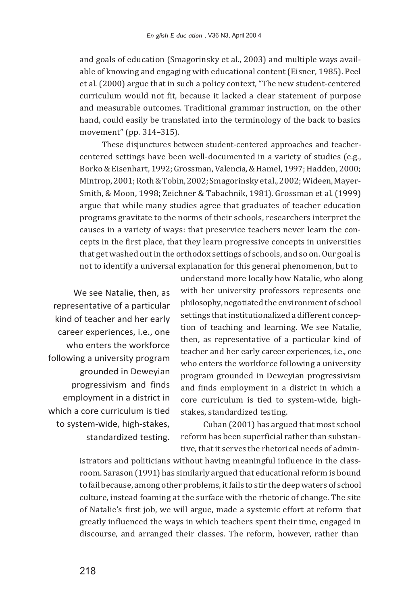and goals of education (Smagorinsky et al., 2003) and multiple ways available of knowing and engaging with educational content(Eisner, 1985). Peel et al. (2000) argue that in such a policy context, "The new student-centered curriculum would not fit, because it lacked a clear statement of purpose and measurable outcomes. Traditional grammar instruction, on the other hand, could easily be translated into the terminology of the back to basics movement" (pp. 314–315).

These disjunctures between student-centered approaches and teachercentered settings have been well-documented in a variety of studies (e.g., Borko & Eisenhart, 1992; Grossman, Valencia, & Hamel, 1997; Hadden, 2000; Mintrop,2001;Roth & Tobin,2002;Smagorinskyetal.,2002;Wideen,Mayer-Smith, & Moon, 1998; Zeichner & Tabachnik, 1981). Grossman et al.(1999) argue that while many studies agree that graduates of teacher education programs gravitate to the norms of their schools, researchers interpret the causes in a variety of ways: that preservice teachers never learn the concepts in the first place, that they learn progressive concepts in universities that get washed outin the orthodox settings of schools, and so on. Our goal is not to identify a universal explanation for this general phenomenon, but to

We see Natalie, then, as representative of a particular kind of teacher and her early career experiences, i.e., one who enters the workforce following a university program grounded in Deweyian progressivism and finds employment in a district in which a core curriculum is tied to system-wide, high-stakes, standardized testing.

understand more locally how Natalie, who along with her university professors represents one philosophy, negotiated the environment of school settings that institutionalized a different conception of teaching and learning. We see Natalie, then, as representative of a particular kind of teacher and her early career experiences, i.e., one who enters the workforce following a university program grounded in Deweyian progressivism and finds employment in a district in which a core curriculum is tied to system-wide, highstakes, standardized testing.

Cuban (2001) has argued that most school reform has been superficial rather than substantive, thatit serves the rhetorical needs of admin-

istrators and politicians without having meaningful influence in the classroom. Sarason (1991) has similarly argued that educational reform is bound to failbecause, among other problems, itfails to stir the deepwaters of school culture, instead foaming at the surface with the rhetoric of change. The site of Natalie's first job, we will argue, made a systemic effort at reform that greatly influenced the ways in which teachers spent their time, engaged in discourse, and arranged their classes. The reform, however, rather than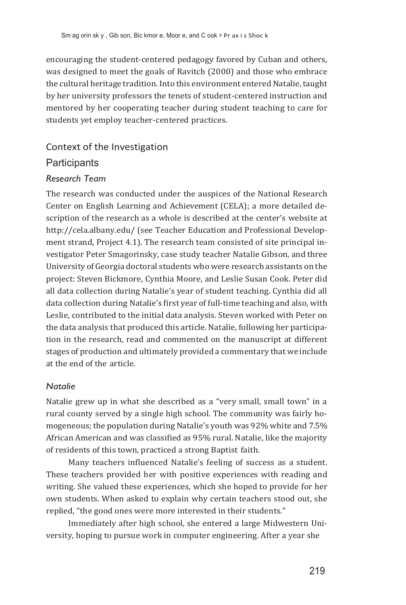encouraging the student-centered pedagogy favored by Cuban and others, was designed to meet the goals of Ravitch (2000) and those who embrace the cultural heritage tradition. Into this environment entered Natalie, taught by her university professors the tenets of student-centered instruction and mentored by her cooperating teacher during student teaching to care for students yet employ teacher-centered practices.

### Context of the Investigation

### **Participants**

### *Research Team*

The research was conducted under the auspices of the National Research Center on English Learning and Achievement (CELA); a more detailed description of the research as a whole is described at the center's website at [http://cela.albany.edu/ \(](http://cela.albany.edu/)see Teacher Education and Professional Development strand, Project 4.1). The research team consisted of site principal investigator Peter Smagorinsky, case study teacher Natalie Gibson, and three University of Georgia doctoral students who were research assistants on the project: Steven Bickmore, Cynthia Moore, and Leslie Susan Cook. Peter did all data collection during Natalie's year of student teaching. Cynthia did all data collection during Natalie's first year of full-time teaching and also, with Leslie, contributed to the initial data analysis. Steven worked with Peter on the data analysis that produced this article. Natalie, following her participation in the research, read and commented on the manuscript at different stages of production and ultimately provided a commentary that we include at the end of the article.

### *Natalie*

Natalie grew up in what she described as a "very small, small town" in a rural county served by a single high school. The community was fairly homogeneous; the population during Natalie's youth was 92% white and 7.5% African American and was classified as 95% rural. Natalie, like the majority of residents of this town, practiced a strong Baptist faith.

Many teachers influenced Natalie's feeling of success as a student. These teachers provided her with positive experiences with reading and writing. She valued these experiences, which she hoped to provide for her own students. When asked to explain why certain teachers stood out, she replied, "the good ones were more interested in their students."

Immediately after high school, she entered a large Midwestern University, hoping to pursue work in computer engineering. After a year she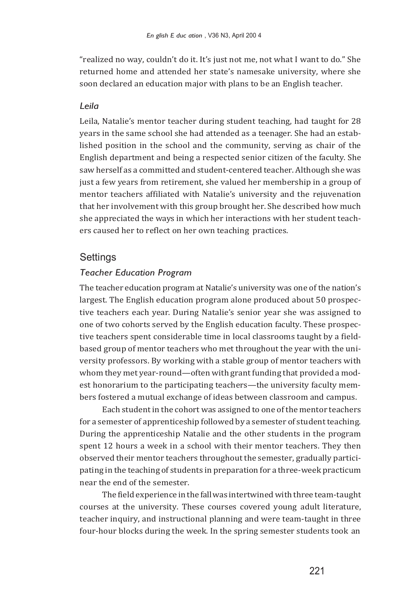"realized no way, couldn't do it. It's just not me, not what I want to do." She returned home and attended her state's namesake university, where she soon declared an education major with plans to be an English teacher.

#### *Leila*

Leila, Natalie's mentor teacher during student teaching, had taught for 28 years in the same school she had attended as a teenager. She had an established position in the school and the community, serving as chair of the English department and being a respected senior citizen of the faculty. She saw herself as a committed and student-centered teacher. Although she was just a few years from retirement, she valued her membership in a group of mentor teachers affiliated with Natalie's university and the rejuvenation that her involvement with this group brought her. She described how much she appreciated the ways in which her interactions with her student teachers caused her to reflect on her own teaching practices.

### **Settings**

### *Teacher Education Program*

The teacher education program at Natalie's university was one of the nation's largest. The English education program alone produced about 50 prospective teachers each year. During Natalie's senior year she was assigned to one of two cohorts served by the English education faculty. These prospective teachers spent considerable time in local classrooms taught by a fieldbased group of mentor teachers who met throughout the year with the university professors. By working with a stable group of mentor teachers with whom they met year-round—often with grant funding that provided a modest honorarium to the participating teachers—the university faculty members fostered a mutual exchange of ideas between classroom and campus.

Each student in the cohort was assigned to one of the mentor teachers for a semester of apprenticeship followed by a semester of student teaching. During the apprenticeship Natalie and the other students in the program spent 12 hours a week in a school with their mentor teachers. They then observed their mentor teachers throughout the semester, gradually participating in the teaching of students in preparation for a three-week practicum near the end of the semester.

The field experience in the fall was intertwined with three team-taught courses at the university. These courses covered young adult literature, teacher inquiry, and instructional planning and were team-taught in three four-hour blocks during the week. In the spring semester students took an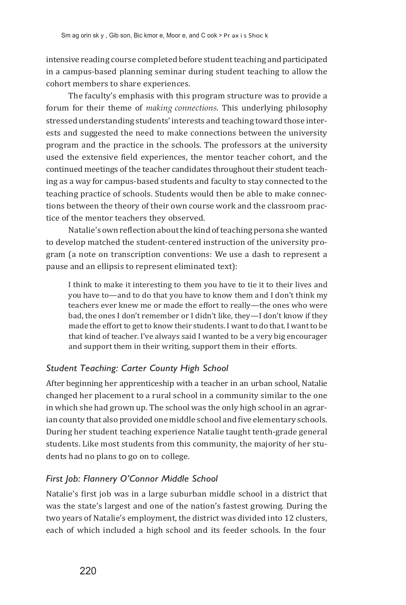intensive reading course completed before student teaching and participated in a campus-based planning seminar during student teaching to allow the cohort members to share experiences.

The faculty's emphasis with this program structure was to provide a forum for their theme of *making connections*. This underlying philosophy stressed understanding students' interests and teaching toward those interests and suggested the need to make connections between the university program and the practice in the schools. The professors at the university used the extensive field experiences, the mentor teacher cohort, and the continued meetings of the teacher candidates throughout their student teaching as a way for campus-based students and faculty to stay connected to the teaching practice of schools. Students would then be able to make connections between the theory of their own course work and the classroom practice of the mentor teachers they observed.

Natalie's own reflection about the kind of teaching persona she wanted to develop matched the student-centered instruction of the university program (a note on transcription conventions: We use a dash to represent a pause and an ellipsis to represent eliminated text):

I think to make it interesting to them you have to tie it to their lives and you have to—and to do that you have to know them and I don't think my teachers ever knew me or made the effort to really—the ones who were bad, the ones I don't remember or I didn't like, they—I don't know if they made the effort to get to know their students. I want to do that. I want to be that kind of teacher. I've always said I wanted to be a very big encourager and support them in their writing, support them in their efforts.

### *Student Teaching: Carter County High School*

After beginning her apprenticeship with a teacher in an urban school, Natalie changed her placement to a rural school in a community similar to the one in which she had grown up. The school was the only high school in an agrarian county that also provided one middle school and five elementary schools. During her student teaching experience Natalie taught tenth-grade general students. Like most students from this community, the majority of her students had no plans to go on to college.

### *First Job: Flannery O'Connor Middle School*

Natalie's first job was in a large suburban middle school in a district that was the state's largest and one of the nation's fastest growing. During the two years of Natalie's employment, the district was divided into 12 clusters, each of which included a high school and its feeder schools. In the four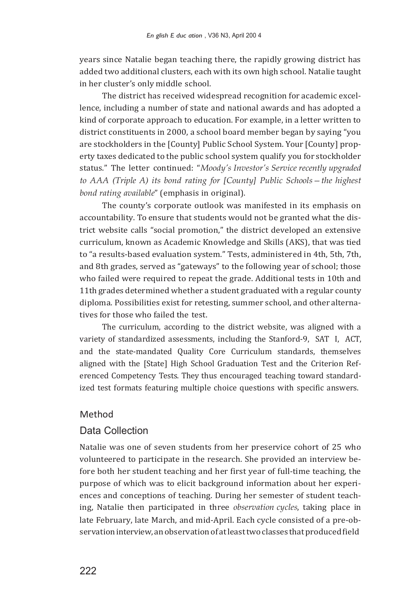years since Natalie began teaching there, the rapidly growing district has added two additional clusters, each with its own high school. Natalie taught in her cluster's only middle school.

The district has received widespread recognition for academic excellence, including a number of state and national awards and has adopted a kind of corporate approach to education. For example, in a letter written to district constituents in 2000, a school board member began by saying "you are stockholders in the [County] Public School System. Your [County] property taxes dedicated to the public school system qualify you for stockholder status." The letter continued: "*Moody's Investor's Service recently upgraded to AAA (Triple A) its bond rating for [County] Public Schools—the highest bond rating available*" (emphasis in original).

The county's corporate outlook was manifested in its emphasis on accountability. To ensure that students would not be granted what the district website calls "social promotion," the district developed an extensive curriculum, known as Academic Knowledge and Skills (AKS), that was tied to "a results-based evaluation system." Tests, administered in 4th, 5th, 7th, and 8th grades, served as "gateways" to the following year of school; those who failed were required to repeat the grade. Additional tests in 10th and 11th grades determined whether a student graduated with a regular county diploma. Possibilities exist for retesting, summer school, and other alternatives for those who failed the test.

The curriculum, according to the district website, was aligned with a variety of standardized assessments, including the Stanford-9, SAT I, ACT, and the state-mandated Quality Core Curriculum standards, themselves aligned with the [State] High School Graduation Test and the Criterion Referenced Competency Tests. They thus encouraged teaching toward standardized test formats featuring multiple choice questions with specific answers.

### Method

### Data Collection

Natalie was one of seven students from her preservice cohort of 25 who volunteered to participate in the research. She provided an interview before both her student teaching and her first year of full-time teaching, the purpose of which was to elicit background information about her experiences and conceptions of teaching. During her semester of student teaching, Natalie then participated in three *observation cycles*, taking place in late February, late March, and mid-April. Each cycle consisted of a pre-observation interview, an observation of at least two classes that produced field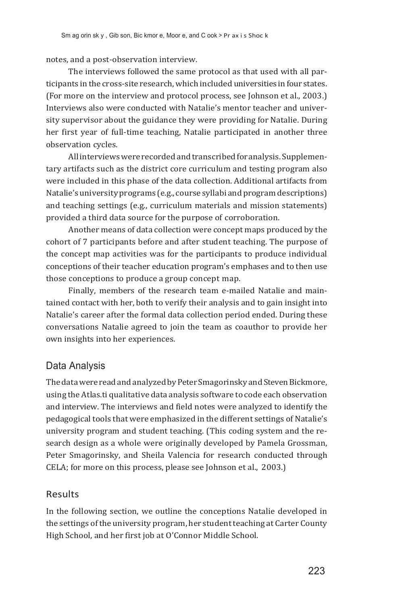notes, and a post-observation interview.

The interviews followed the same protocol as that used with all participants in the cross-site research, which included universities in four states. (For more on the interview and protocol process, see Johnson et al., 2003.) Interviews also were conducted with Natalie's mentor teacher and university supervisor about the guidance they were providing for Natalie. During her first year of full-time teaching, Natalie participated in another three observation cycles.

All interviews were recorded and transcribed for analysis. Supplementary artifacts such as the district core curriculum and testing program also were included in this phase of the data collection. Additional artifacts from Natalie's university programs (e.g., course syllabi and program descriptions) and teaching settings (e.g., curriculum materials and mission statements) provided a third data source for the purpose of corroboration.

Another means of data collection were concept maps produced by the cohort of 7 participants before and after student teaching. The purpose of the concept map activities was for the participants to produce individual conceptions of their teacher education program's emphases and to then use those conceptions to produce a group concept map.

Finally, members of the research team e-mailed Natalie and maintained contact with her, both to verify their analysis and to gain insight into Natalie's career after the formal data collection period ended. During these conversations Natalie agreed to join the team as coauthor to provide her own insights into her experiences.

### Data Analysis

The data were read and analyzed by Peter Smagorinsky and Steven Bickmore, using theAtlas.ti qualitative data analysis software to code each observation and interview. The interviews and field notes were analyzed to identify the pedagogical tools that were emphasized in the different settings of Natalie's university program and student teaching. (This coding system and the research design as a whole were originally developed by Pamela Grossman, Peter Smagorinsky, and Sheila Valencia for research conducted through CELA; for more on this process, please see Johnson et al., 2003.)

### Results

In the following section, we outline the conceptions Natalie developed in the settings of the university program, her student teaching at Carter County High School, and her first job at O'Connor Middle School.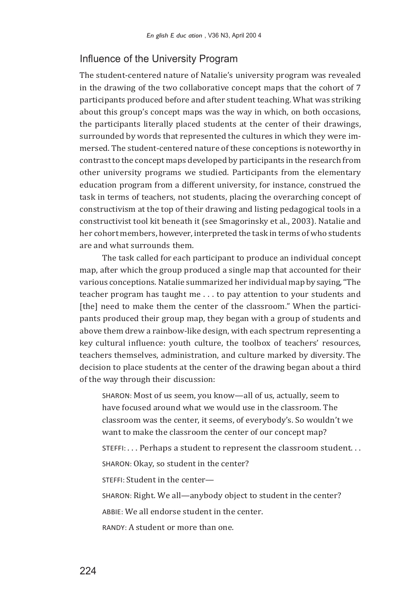### Influence of the University Program

The student-centered nature of Natalie's university program was revealed in the drawing of the two collaborative concept maps that the cohort of 7 participants produced before and after student teaching. What was striking about this group's concept maps was the way in which, on both occasions, the participants literally placed students at the center of their drawings, surrounded by words that represented the cultures in which they were immersed. The student-centered nature of these conceptions is noteworthy in contrastto the concept maps developed by participants in the research from other university programs we studied. Participants from the elementary education program from a different university, for instance, construed the task in terms of teachers, not students, placing the overarching concept of constructivism at the top of their drawing and listing pedagogical tools in a constructivist tool kit beneath it (see Smagorinsky et al., 2003). Natalie and her cohort members, however, interpreted the task in terms of who students are and what surrounds them.

The task called for each participant to produce an individual concept map, after which the group produced a single map that accounted for their various conceptions.Natalie summarized her individual map by saying,"The teacher program has taught me . . . to pay attention to your students and [the] need to make them the center of the classroom." When the participants produced their group map, they began with a group of students and above them drew a rainbow-like design, with each spectrum representing a key cultural influence: youth culture, the toolbox of teachers' resources, teachers themselves, administration, and culture marked by diversity. The decision to place students at the center of the drawing began about a third of the way through their discussion:

SHARON: Most of us seem, you know—all of us, actually, seem to have focused around what we would use in the classroom. The classroom was the center, it seems, of everybody's. So wouldn't we want to make the classroom the center of our concept map?

STEFFI: . . . Perhaps a student to represent the classroom student. . .

SHARON: Okay, so student in the center?

STEFFI: Student in the center—

SHARON: Right. We all—anybody object to student in the center?

ABBIE: We all endorse student in the center.

RANDY: A student or more than one.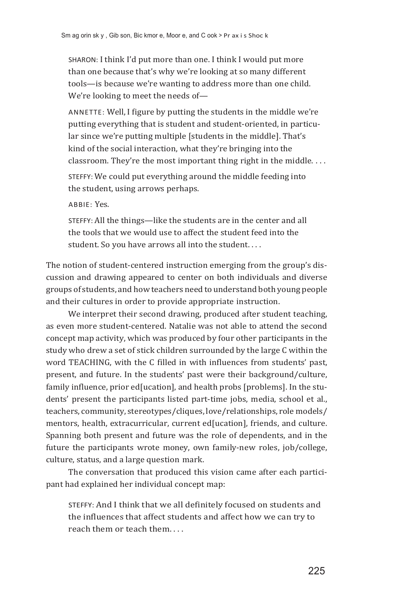SHARON: I think I'd put more than one. I think I would put more than one because that's why we're looking at so many different tools—is because we're wanting to address more than one child. We're looking to meet the needs of—

ANNETTE: Well, I figure by putting the students in the middle we're putting everything that is student and student-oriented, in particular since we're putting multiple [students in the middle]. That's kind of the social interaction, what they're bringing into the classroom. They're the most important thing right in the middle. . . .

STEFFY: We could put everything around the middle feeding into the student, using arrows perhaps.

ABBIE: Yes.

STEFFY: All the things—like the students are in the center and all the tools that we would use to affect the student feed into the student. So you have arrows all into the student. . . .

The notion of student-centered instruction emerging from the group's discussion and drawing appeared to center on both individuals and diverse groups of students, and howteachers need to understandboth young people and their cultures in order to provide appropriate instruction.

We interpret their second drawing, produced after student teaching, as even more student-centered. Natalie was not able to attend the second concept map activity, which was produced by four other participants in the study who drew a set of stick children surrounded by the large C within the word TEACHING, with the C filled in with influences from students' past, present, and future. In the students' past were their background/culture, family influence, prior ed[ucation], and health probs [problems]. In the students' present the participants listed part-time jobs, media, school et al., teachers, community, stereotypes/cliques, love/relationships, role models/ mentors, health, extracurricular, current ed[ucation], friends, and culture. Spanning both present and future was the role of dependents, and in the future the participants wrote money, own family-new roles, job/college, culture, status, and a large question mark.

The conversation that produced this vision came after each participant had explained her individual concept map:

STEFFY: And I think that we all definitely focused on students and the influences that affect students and affect how we can try to reach them or teach them. . . .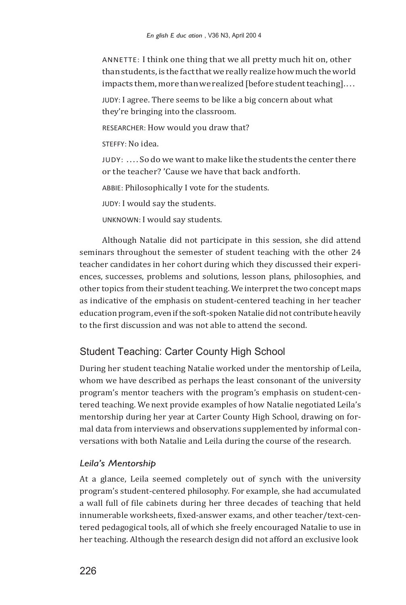ANNETTE: I think one thing that we all pretty much hit on, other than students, is the fact that we really realize how much the world impacts them, more than we realized [before student teaching]....

JUDY: I agree. There seems to be like a big concern about what they're bringing into the classroom.

RESEARCHER: How would you draw that?

STEFFY: No idea.

 $JUDY: \ldots$  So do we want to make like the students the center there or the teacher? 'Cause we have that back andforth.

ABBIE: Philosophically I vote for the students.

JUDY: I would say the students.

UNKNOWN: I would say students.

Although Natalie did not participate in this session, she did attend seminars throughout the semester of student teaching with the other 24 teacher candidates in her cohort during which they discussed their experiences, successes, problems and solutions, lesson plans, philosophies, and other topics from their studentteaching. We interpretthe two concept maps as indicative of the emphasis on student-centered teaching in her teacher education program, even if the soft-spoken Natalie didnot contribute heavily to the first discussion and was not able to attend the second.

### Student Teaching: Carter County High School

During her student teaching Natalie worked under the mentorship of Leila, whom we have described as perhaps the least consonant of the university program's mentor teachers with the program's emphasis on student-centered teaching. We next provide examples of how Natalie negotiated Leila's mentorship during her year at Carter County High School, drawing on formal data from interviews and observations supplemented by informal conversations with both Natalie and Leila during the course of the research.

### *Leila's Mentorship*

At a glance, Leila seemed completely out of synch with the university program's student-centered philosophy. For example, she had accumulated a wall full of file cabinets during her three decades of teaching that held innumerable worksheets, fixed-answer exams, and other teacher/text-centered pedagogical tools, all of which she freely encouraged Natalie to use in her teaching. Although the research design did not afford an exclusive look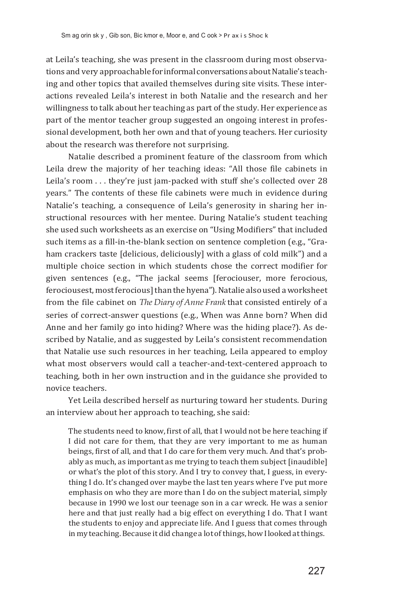at Leila's teaching, she was present in the classroom during most observations and very approachable for informal conversations about Natalie's teaching and other topics that availed themselves during site visits. These interactions revealed Leila's interest in both Natalie and the research and her willingness to talk about her teaching as part of the study.Her experience as part of the mentor teacher group suggested an ongoing interest in professional development, both her own and that of young teachers. Her curiosity about the research was therefore not surprising.

Natalie described a prominent feature of the classroom from which Leila drew the majority of her teaching ideas: "All those file cabinets in Leila's room . . . they're just jam-packed with stuff she's collected over 28 years." The contents of these file cabinets were much in evidence during Natalie's teaching, a consequence of Leila's generosity in sharing her instructional resources with her mentee. During Natalie's student teaching she used such worksheets as an exercise on "Using Modifiers" that included such items as a fill-in-the-blank section on sentence completion (e.g., "Graham crackers taste [delicious, deliciously] with a glass of cold milk") and a multiple choice section in which students chose the correct modifier for given sentences (e.g., "The jackal seems [ferociouser, more ferocious, ferociousest, most ferocious] than the hyena"). Natalie also used a worksheet from the file cabinet on *The Diary of Anne Frank* that consisted entirely of a series of correct-answer questions (e.g., When was Anne born? When did Anne and her family go into hiding? Where was the hiding place?). As described by Natalie, and as suggested by Leila's consistent recommendation that Natalie use such resources in her teaching, Leila appeared to employ what most observers would call a teacher-and-text-centered approach to teaching, both in her own instruction and in the guidance she provided to novice teachers.

Yet Leila described herself as nurturing toward her students. During an interview about her approach to teaching, she said:

The students need to know, first of all, that I would not be here teaching if I did not care for them, that they are very important to me as human beings, first of all, and that I do care for them very much. And that's probably as much, as important as me trying to teach them subject [inaudible] or what's the plot of this story. And I try to convey that, I guess, in everything I do. It's changed over maybe the last ten years where I've put more emphasis on who they are more than I do on the subject material, simply because in 1990 we lost our teenage son in a car wreck. He was a senior here and that just really had a big effect on everything I do. That I want the students to enjoy and appreciate life. And I guess that comes through in my teaching. Because it did change a lot of things, how I looked at things.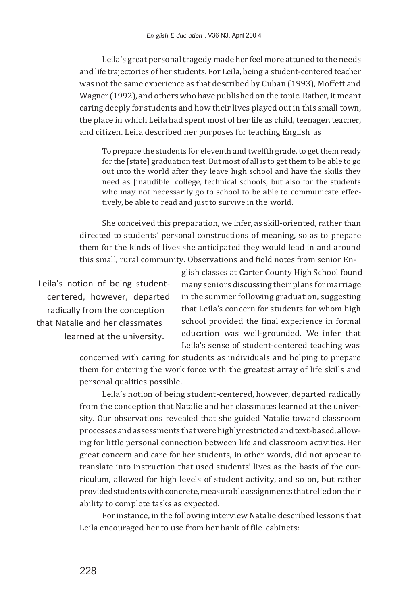Leila's great personal tragedy made her feel more attuned to the needs and life trajectories of her students. For Leila, being a student-centered teacher was not the same experience as that described by Cuban (1993), Moffett and Wagner (1992), and others who have published on the topic. Rather,it meant caring deeply for students and how their lives played out in this small town, the place in which Leila had spent most of her life as child, teenager, teacher, and citizen. Leila described her purposes for teaching English as

To prepare the students for eleventh and twelfth grade, to get them ready for the [state] graduation test. But most of all is to get them to be able to go out into the world after they leave high school and have the skills they need as [inaudible] college, technical schools, but also for the students who may not necessarily go to school to be able to communicate effectively, be able to read and just to survive in the world.

She conceived this preparation, we infer, as skill-oriented, rather than directed to students' personal constructions of meaning, so as to prepare them for the kinds of lives she anticipated they would lead in and around this small, rural community. Observations and field notes from senior En-

Leila's notion of being studentcentered, however, departed radically from the conception that Natalie and her classmates learned at the university.

glish classes at Carter County High School found many seniors discussing their plans for marriage in the summer following graduation, suggesting that Leila's concern for students for whom high school provided the final experience in formal education was well-grounded. We infer that Leila's sense of student-centered teaching was

concerned with caring for students as individuals and helping to prepare them for entering the work force with the greatest array of life skills and personal qualities possible.

Leila's notion of being student-centered, however, departed radically from the conception that Natalie and her classmates learned at the university. Our observations revealed that she guided Natalie toward classroom processesandassessments thatwerehighlyrestrictedandtext-based,allowing for little personal connection between life and classroom activities.Her great concern and care for her students, in other words, did not appear to translate into instruction that used students' lives as the basis of the curriculum, allowed for high levels of student activity, and so on, but rather provided students with concrete, measurable assignments that relied on their ability to complete tasks as expected.

For instance, in the following interview Natalie described lessons that Leila encouraged her to use from her bank of file cabinets: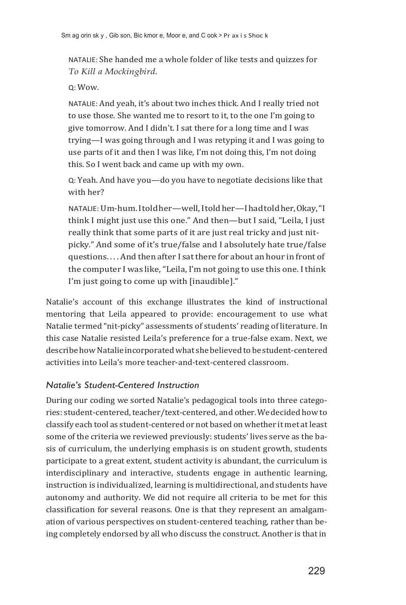NATALIE: She handed me a whole folder of like tests and quizzes for *To Kill a Mockingbird*.

#### Q: Wow.

NATALIE: And yeah, it's about two inches thick. And I really tried not to use those. She wanted me to resort to it, to the one I'm going to give tomorrow. And I didn't. I sat there for a long time and I was trying—I was going through and I was retyping it and I was going to use parts of it and then I was like, I'm not doing this, I'm not doing this. So I went back and came up with my own.

Q: Yeah. And have you—do you have to negotiate decisions like that with her?

NATALIE: Um-hum. I told her—well, I told her—I had toldher,Okay,"I think I might just use this one." And then—but I said, "Leila, I just really think that some parts of it are just real tricky and just nitpicky." And some of it's true/false and I absolutely hate true/false questions. . . . And then after I sat there for about an hour in front of the computer I was like,"Leila, I'm not going to use this one. I think I'm just going to come up with [inaudible]."

Natalie's account of this exchange illustrates the kind of instructional mentoring that Leila appeared to provide: encouragement to use what Natalie termed "nit-picky" assessments of students' reading of literature. In this case Natalie resisted Leila's preference for a true-false exam. Next, we describe how Natalie incorporated what she believed to be student-centered activities into Leila's more teacher-and-text-centered classroom.

### *Natalie's Student-Centered Instruction*

During our coding we sorted Natalie's pedagogical tools into three categories: student-centered, teacher/text-centered, and other. We decided how to classify each tool as student-centered or not based on whether it met atleast some of the criteria we reviewed previously: students' lives serve as the basis of curriculum, the underlying emphasis is on student growth, students participate to a great extent, student activity is abundant, the curriculum is interdisciplinary and interactive, students engage in authentic learning, instruction is individualized, learning is multidirectional, and students have autonomy and authority. We did not require all criteria to be met for this classification for several reasons. One is that they represent an amalgamation of various perspectives on student-centered teaching, rather than being completely endorsed by all who discuss the construct. Another is that in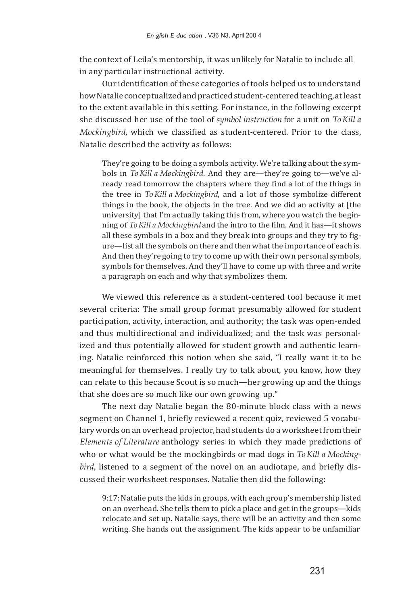the context of Leila's mentorship, it was unlikely for Natalie to include all in any particular instructional activity.

Our identification of these categories of tools helped us to understand howNatalieconceptualizedandpracticedstudent-centeredteaching,atleast to the extent available in this setting. For instance, in the following excerpt she discussed her use of the tool of *symbol instruction* for a unit on *To Kill a Mockingbird*, which we classified as student-centered. Prior to the class, Natalie described the activity as follows:

They're going to be doing a symbols activity. We're talking about the symbols in *To Kill a Mockingbird*. And they are—they're going to—we've already read tomorrow the chapters where they find a lot of the things in the tree in *To Kill a Mockingbird*, and a lot of those symbolize different things in the book, the objects in the tree. And we did an activity at [the university] that I'm actually taking this from, where you watch the beginning of *ToKill a Mockingbird* and the intro to the film. And it has—it shows all these symbols in a box and they break into groups and they try to figure—list allthe symbols on there and then whatthe importance of each is. And then they're going to try to come up with their own personal symbols, symbols for themselves. And they'll have to come up with three and write a paragraph on each and why that symbolizes them.

We viewed this reference as a student-centered tool because it met several criteria: The small group format presumably allowed for student participation, activity, interaction, and authority; the task was open-ended and thus multidirectional and individualized; and the task was personalized and thus potentially allowed for student growth and authentic learning. Natalie reinforced this notion when she said, "I really want it to be meaningful for themselves. I really try to talk about, you know, how they can relate to this because Scout is so much—her growing up and the things that she does are so much like our own growing up."

The next day Natalie began the 80-minute block class with a news segment on Channel 1, briefly reviewed a recent quiz, reviewed 5 vocabulary words on an overhead projector, had students do a worksheet from their *Elements of Literature* anthology series in which they made predictions of who or what would be the mockingbirds or mad dogs in *To Kill a Mockingbird*, listened to a segment of the novel on an audiotape, and briefly discussed their worksheet responses. Natalie then did the following:

9:17: Natalie puts the kids in groups, with each group's membership listed on an overhead. She tells them to pick a place and get in the groups—kids relocate and set up. Natalie says, there will be an activity and then some writing. She hands out the assignment. The kids appear to be unfamiliar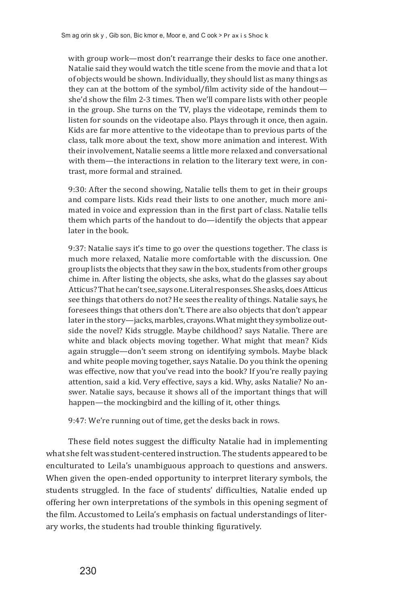with group work—most don't rearrange their desks to face one another. Natalie said they would watch the title scene from the movie and that a lot of objects would be shown.Individually,they should list as many things as they can at the bottom of the symbol/film activity side of the handout she'd show the film 2-3 times. Then we'll compare lists with other people in the group. She turns on the TV, plays the videotape, reminds them to listen for sounds on the videotape also. Plays through it once, then again. Kids are far more attentive to the videotape than to previous parts of the class, talk more about the text, show more animation and interest. With their involvement, Natalie seems a little more relaxed and conversational with them—the interactions in relation to the literary text were, in contrast, more formal and strained.

9:30: After the second showing, Natalie tells them to get in their groups and compare lists. Kids read their lists to one another, much more animated in voice and expression than in the first part of class. Natalie tells them which parts of the handout to do—identify the objects that appear later in the book.

9:37: Natalie says it's time to go over the questions together. The class is much more relaxed, Natalie more comfortable with the discussion. One group lists the objects thatthey sawin the box, students fromother groups chime in. After listing the objects, she asks, what do the glasses say about Atticus?Thathecan't see, saysone.Literal responses.Sheasks,doesAtticus see things that others do not? He sees the reality of things. Natalie says, he foresees things that others don't. There are also objects that don't appear later in the story-jacks, marbles, crayons. What might they symbolize outside the novel? Kids struggle. Maybe childhood? says Natalie. There are white and black objects moving together. What might that mean? Kids again struggle—don't seem strong on identifying symbols. Maybe black and white people moving together, says Natalie. Do you think the opening was effective, now that you've read into the book? If you're really paying attention, said a kid. Very effective, says a kid. Why, asks Natalie? No answer. Natalie says, because it shows all of the important things that will happen—the mockingbird and the killing of it, other things.

9:47: We're running out of time, get the desks back in rows.

These field notes suggest the difficulty Natalie had in implementing what she felt was student-centered instruction. The students appeared to be enculturated to Leila's unambiguous approach to questions and answers. When given the open-ended opportunity to interpret literary symbols, the students struggled. In the face of students' difficulties, Natalie ended up offering her own interpretations of the symbols in this opening segment of the film. Accustomed to Leila's emphasis on factual understandings of literary works, the students had trouble thinking figuratively.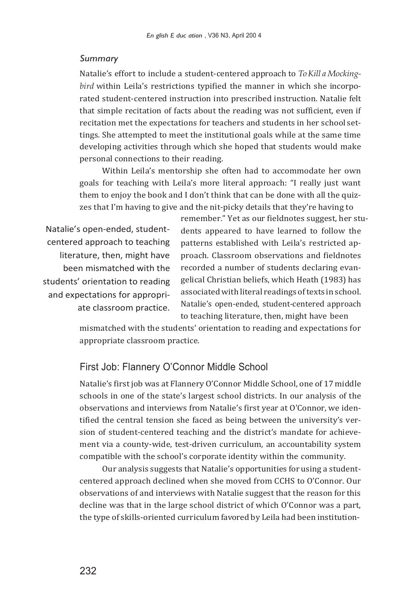#### *Summary*

Natalie's effort to include a student-centered approach to *ToKill a Mockingbird* within Leila's restrictions typified the manner in which she incorporated student-centered instruction into prescribed instruction. Natalie felt that simple recitation of facts about the reading was not sufficient, even if recitation met the expectations for teachers and students in her school settings. She attempted to meet the institutional goals while at the same time developing activities through which she hoped that students would make personal connections to their reading.

Within Leila's mentorship she often had to accommodate her own goals for teaching with Leila's more literal approach: "I really just want them to enjoy the book and I don't think that can be done with all the quizzes that I'm having to give and the nit-picky details that they're having to

Natalie's open-ended, studentcentered approach to teaching literature, then, might have been mismatched with the students' orientation to reading and expectations for appropriate classroom practice. remember." Yet as our fieldnotes suggest, her students appeared to have learned to follow the patterns established with Leila's restricted approach. Classroom observations and fieldnotes recorded a number of students declaring evangelical Christian beliefs, which Heath (1983) has associated with literal readings of texts in school. Natalie's open-ended, student-centered approach to teaching literature, then, might have been

mismatched with the students' orientation to reading and expectations for appropriate classroom practice.

### First Job: Flannery O'Connor Middle School

Natalie's first job was at Flannery O'Connor Middle School, one of 17 middle schools in one of the state's largest school districts. In our analysis of the observations and interviews from Natalie's first year at O'Connor, we identified the central tension she faced as being between the university's version of student-centered teaching and the district's mandate for achievement via a county-wide, test-driven curriculum, an accountability system compatible with the school's corporate identity within the community.

Our analysis suggests that Natalie's opportunities for using a studentcentered approach declined when she moved from CCHS to O'Connor. Our observations of and interviews with Natalie suggest that the reason for this decline was that in the large school district of which O'Connor was a part, the type of skills-oriented curriculum favored by Leila had been institution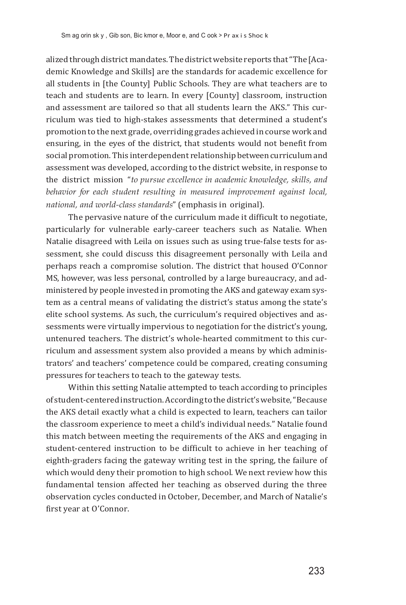alized through district mandates. The district website reports that "The [Academic Knowledge and Skills] are the standards for academic excellence for all students in [the County] Public Schools. They are what teachers are to teach and students are to learn. In every [County] classroom, instruction and assessment are tailored so that all students learn the AKS." This curriculum was tied to high-stakes assessments that determined a student's promotion to the next grade, overriding grades achieved in course work and ensuring, in the eyes of the district, that students would not benefit from social promotion. This interdependent relationship between curriculum and assessment was developed, according to the district website, in response to the district mission "*to pursue excellence in academic knowledge, skills, and behavior for each student resulting in measured improvement against local, national, and world-class standards*" (emphasis in original).

The pervasive nature of the curriculum made it difficult to negotiate, particularly for vulnerable early-career teachers such as Natalie. When Natalie disagreed with Leila on issues such as using true-false tests for assessment, she could discuss this disagreement personally with Leila and perhaps reach a compromise solution. The district that housed O'Connor MS, however, was less personal, controlled by a large bureaucracy, and administered by people invested in promoting the AKS and gateway exam system as a central means of validating the district's status among the state's elite school systems. As such, the curriculum's required objectives and assessments were virtually impervious to negotiation for the district's young, untenured teachers. The district's whole-hearted commitment to this curriculum and assessment system also provided a means by which administrators' and teachers' competence could be compared, creating consuming pressures for teachers to teach to the gateway tests.

Within this setting Natalie attempted to teach according to principles of student-centeredinstruction.According tothedistrict'swebsite,"Because the AKS detail exactly what a child is expected to learn, teachers can tailor the classroom experience to meet a child's individual needs." Natalie found this match between meeting the requirements of the AKS and engaging in student-centered instruction to be difficult to achieve in her teaching of eighth-graders facing the gateway writing test in the spring, the failure of which would deny their promotion to high school. We next review how this fundamental tension affected her teaching as observed during the three observation cycles conducted in October, December, and March of Natalie's first year at O'Connor.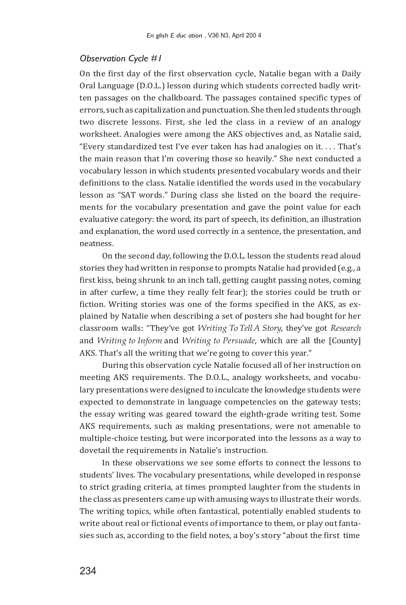### *Observation Cycle #1*

On the first day of the first observation cycle, Natalie began with a Daily Oral Language (D.O.L.) lesson during which students corrected badly written passages on the chalkboard. The passages contained specific types of errors, such as capitalization and punctuation. She then led students through two discrete lessons. First, she led the class in a review of an analogy worksheet. Analogies were among the AKS objectives and, as Natalie said, "Every standardized test I've ever taken has had analogies on it. . . . That's the main reason that I'm covering those so heavily." She next conducted a vocabulary lesson in which students presented vocabulary words and their definitions to the class. Natalie identified the words used in the vocabulary lesson as "SAT words." During class she listed on the board the requirements for the vocabulary presentation and gave the point value for each evaluative category: the word, its part of speech, its definition, an illustration and explanation, the word used correctly in a sentence, the presentation, and neatness.

On the second day, following the D.O.L. lesson the students read aloud stories they had written in response to prompts Natalie had provided (e.g., a first kiss, being shrunk to an inch tall, getting caught passing notes, coming in after curfew, a time they really felt fear); the stories could be truth or fiction. Writing stories was one of the forms specified in the AKS, as explained by Natalie when describing a set of posters she had bought for her classroom walls: "They've got *Writing To Tell A Story*, they've got *Research*  and *Writing to Inform* and *Writing to Persuade*, which are all the [County] AKS. That's all the writing that we're going to cover this year."

During this observation cycle Natalie focused all of her instruction on meeting AKS requirements. The D.O.L., analogy worksheets, and vocabulary presentations were designed to inculcate the knowledge students were expected to demonstrate in language competencies on the gateway tests; the essay writing was geared toward the eighth-grade writing test. Some AKS requirements, such as making presentations, were not amenable to multiple-choice testing, but were incorporated into the lessons as a way to dovetail the requirements in Natalie's instruction.

In these observations we see some efforts to connect the lessons to students' lives. The vocabulary presentations, while developed in response to strict grading criteria, at times prompted laughter from the students in the class as presenters came up with amusing ways to illustrate their words. The writing topics, while often fantastical, potentially enabled students to write about real or fictional events of importance to them, or play out fantasies such as, according to the field notes, a boy's story "about the first time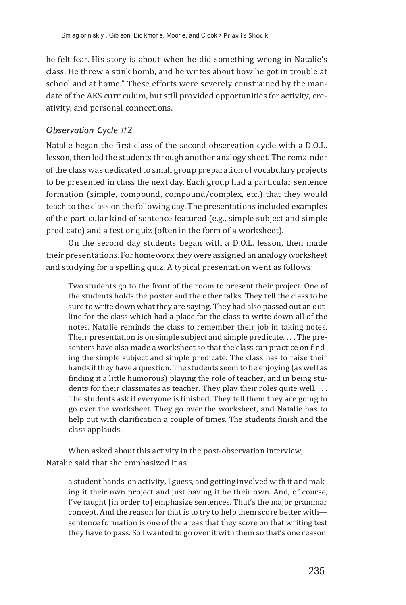he felt fear. His story is about when he did something wrong in Natalie's class. He threw a stink bomb, and he writes about how he got in trouble at school and at home." These efforts were severely constrained by the mandate of the AKS curriculum, but still provided opportunities for activity, creativity, and personal connections.

### *Observation Cycle #2*

Natalie began the first class of the second observation cycle with a D.O.L. lesson, then led the students through another analogy sheet. The remainder of the class was dedicated to small group preparation of vocabulary projects to be presented in class the next day. Each group had a particular sentence formation (simple, compound, compound/complex, etc.) that they would teach to the class on the following day. The presentations included examples of the particular kind of sentence featured (e.g., simple subject and simple predicate) and a test or quiz (often in the form of a worksheet).

On the second day students began with a D.O.L. lesson, then made their presentations. For homework they were assigned an analogy worksheet and studying for a spelling quiz. A typical presentation went as follows:

Two students go to the front of the room to present their project. One of the students holds the poster and the other talks. They tell the class to be sure to write down what they are saying. They had also passed out an outline for the class which had a place for the class to write down all of the notes. Natalie reminds the class to remember their job in taking notes. Their presentation is on simple subject and simple predicate. . . . The presenters have also made a worksheet so that the class can practice on finding the simple subject and simple predicate. The class has to raise their hands ifthey have a question. The students seem to be enjoying (as well as finding it a little humorous) playing the role of teacher, and in being students for their classmates as teacher. They play their roles quite well.... The students ask if everyone is finished. They tell them they are going to go over the worksheet. They go over the worksheet, and Natalie has to help out with clarification a couple of times. The students finish and the class applauds.

When asked about this activity in the post-observation interview, Natalie said that she emphasized it as

a student hands-on activity, I guess, and getting involved with it and making it their own project and just having it be their own. And, of course, I've taught [in order to] emphasize sentences. That's the major grammar concept. And the reason for that is to try to help them score better with sentence formation is one of the areas that they score on that writing test they have to pass. So I wanted to go over it with them so that's one reason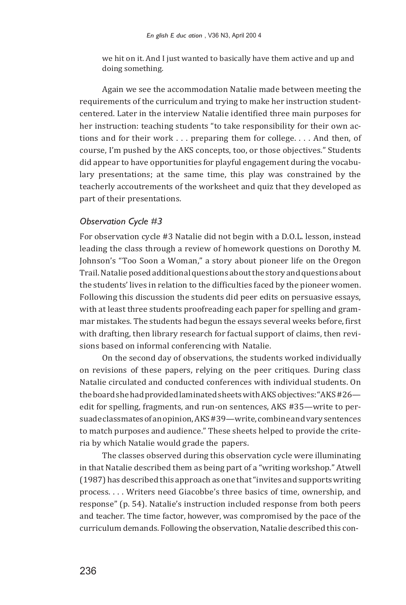we hit on it. And I just wanted to basically have them active and up and doing something.

Again we see the accommodation Natalie made between meeting the requirements of the curriculum and trying to make her instruction studentcentered. Later in the interview Natalie identified three main purposes for her instruction: teaching students "to take responsibility for their own actions and for their work . . . preparing them for college. . . . And then, of course, I'm pushed by the AKS concepts, too, or those objectives." Students did appear to have opportunities for playful engagement during the vocabulary presentations; at the same time, this play was constrained by the teacherly accoutrements of the worksheet and quiz that they developed as part of their presentations.

#### *Observation Cycle #3*

For observation cycle #3 Natalie did not begin with a D.O.L. lesson, instead leading the class through a review of homework questions on Dorothy M. Johnson's "Too Soon a Woman," a story about pioneer life on the Oregon Trail.Natalie posedadditionalquestions aboutthestoryandquestions about the students' lives in relation to the difficulties faced by the pioneer women. Following this discussion the students did peer edits on persuasive essays, with at least three students proofreading each paper for spelling and grammar mistakes. The students had begun the essays several weeks before, first with drafting, then library research for factual support of claims, then revisions based on informal conferencing with Natalie.

On the second day of observations, the students worked individually on revisions of these papers, relying on the peer critiques. During class Natalie circulated and conducted conferences with individual students. On the board she had provided laminated sheets with AKS objectives: "AKS #26 edit for spelling, fragments, and run-on sentences, AKS #35—write to persuade classmates of an opinion, AKS #39—write, combine and vary sentences to match purposes and audience." These sheets helped to provide the criteria by which Natalie would grade the papers.

The classes observed during this observation cycle were illuminating in that Natalie described them as being part of a "writing workshop." Atwell (1987) has describedthis approach as one that"invites andsupportswriting process. . . . Writers need Giacobbe's three basics of time, ownership, and response" (p. 54). Natalie's instruction included response from both peers and teacher. The time factor, however, was compromised by the pace of the curriculum demands. Following the observation, Natalie described this con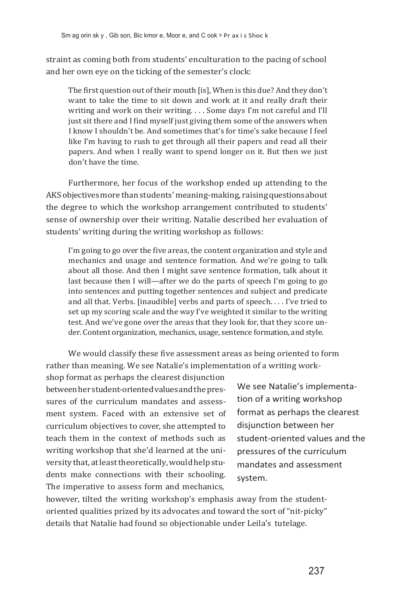straint as coming both from students' enculturation to the pacing of school and her own eye on the ticking of the semester's clock:

The first question out of their mouth [is], When is this due? And they don't want to take the time to sit down and work at it and really draft their writing and work on their writing. . . . Some days I'm not careful and I'll just sit there and I find myself just giving them some of the answers when I know I shouldn't be. And sometimes that's for time's sake because I feel like I'm having to rush to get through all their papers and read all their papers. And when I really want to spend longer on it. But then we just don't have the time.

Furthermore, her focus of the workshop ended up attending to the AKS objectives more than students' meaning-making, raising questions about the degree to which the workshop arrangement contributed to students' sense of ownership over their writing. Natalie described her evaluation of students' writing during the writing workshop as follows:

I'm going to go over the five areas, the content organization and style and mechanics and usage and sentence formation. And we're going to talk about all those. And then I might save sentence formation, talk about it last because then I will—after we do the parts of speech I'm going to go into sentences and putting together sentences and subject and predicate and all that. Verbs. [inaudible] verbs and parts of speech. . . . I've tried to set up my scoring scale and the way I've weighted it similar to the writing test. And we've gone over the areas that they look for, that they score under. Content organization, mechanics, usage, sentence formation, and style.

We would classify these five assessment areas as being oriented to form rather than meaning. We see Natalie's implementation of a writing work-

shop format as perhaps the clearest disjunction betweenherstudent-orientedvaluesandthepressures of the curriculum mandates and assessment system. Faced with an extensive set of curriculum objectives to cover, she attempted to teach them in the context of methods such as writing workshop that she'd learned at the universitythat, atleasttheoretically,wouldhelpstudents make connections with their schooling. The imperative to assess form and mechanics,

We see Natalie's implementation of a writing workshop format as perhaps the clearest disjunction between her student-oriented values and the pressures of the curriculum mandates and assessment system.

however, tilted the writing workshop's emphasis away from the studentoriented qualities prized by its advocates and toward the sort of "nit-picky" details that Natalie had found so objectionable under Leila's tutelage.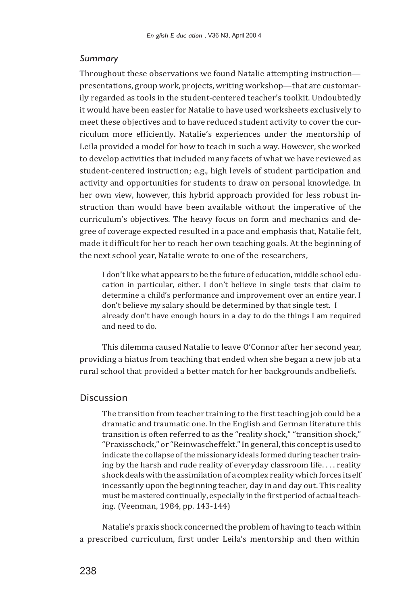#### *Summary*

Throughout these observations we found Natalie attempting instruction presentations, group work, projects, writing workshop—that are customarily regarded as tools in the student-centered teacher's toolkit. Undoubtedly it would have been easier for Natalie to have used worksheets exclusively to meet these objectives and to have reduced student activity to cover the curriculum more efficiently. Natalie's experiences under the mentorship of Leila provided a model for how to teach in such a way.However, she worked to develop activities that included many facets of what we have reviewed as student-centered instruction; e.g., high levels of student participation and activity and opportunities for students to draw on personal knowledge. In her own view, however, this hybrid approach provided for less robust instruction than would have been available without the imperative of the curriculum's objectives. The heavy focus on form and mechanics and degree of coverage expected resulted in a pace and emphasis that, Natalie felt, made it difficult for her to reach her own teaching goals. At the beginning of the next school year, Natalie wrote to one of the researchers,

I don't like what appears to be the future of education, middle school education in particular, either. I don't believe in single tests that claim to determine a child's performance and improvement over an entire year. I don't believe my salary should be determined by that single test. I already don't have enough hours in a day to do the things I am required and need to do.

This dilemma caused Natalie to leave O'Connor after her second year, providing a hiatus from teaching that ended when she began a new job at a rural school that provided a better match for her backgrounds andbeliefs.

### Discussion

The transition from teacher training to the first teaching job could be a dramatic and traumatic one. In the English and German literature this transition is often referred to as the "reality shock," "transition shock," "Praxisschock," or "Reinwascheffekt."In general, this conceptis used to indicate the collapse of the missionary ideals formed during teacher training by the harsh and rude reality of everyday classroom life. . . . reality shock deals with the assimilation of a complex reality which forces itself incessantly upon the beginning teacher, day in and day out. This reality must be mastered continually, especially in the first period of actual teaching. (Veenman, 1984, pp. 143-144)

Natalie's praxis shock concerned the problem of having to teach within a prescribed curriculum, first under Leila's mentorship and then within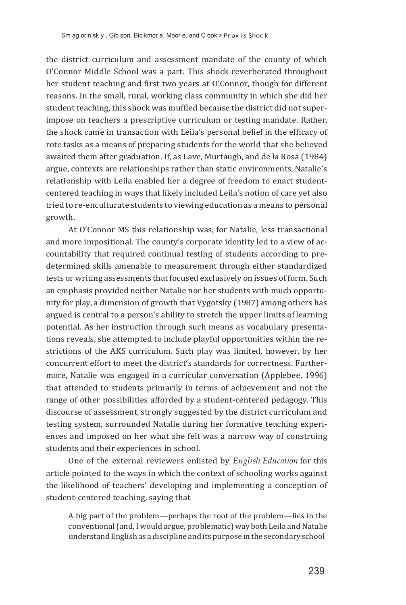the district curriculum and assessment mandate of the county of which O'Connor Middle School was a part. This shock reverberated throughout her student teaching and first two years at O'Connor, though for different reasons. In the small, rural, working class community in which she did her student teaching, this shock was muffled because the district did not superimpose on teachers a prescriptive curriculum or testing mandate. Rather, the shock came in transaction with Leila's personal belief in the efficacy of rote tasks as a means of preparing students for the world that she believed awaited them after graduation. If, as Lave, Murtaugh, and de la Rosa (1984) argue, contexts are relationships rather than static environments, Natalie's relationship with Leila enabled her a degree of freedom to enact studentcentered teaching in ways that likely included Leila's notion of care yet also tried to re-enculturate students to viewing education as a means to personal growth.

At O'Connor MS this relationship was, for Natalie, less transactional and more impositional. The county's corporate identity led to a view of accountability that required continual testing of students according to predetermined skills amenable to measurement through either standardized tests or writing assessments thatfocused exclusively on issues of form. Such an emphasis provided neither Natalie nor her students with much opportunity for play, a dimension of growth that Vygotsky (1987) among others has argued is central to a person's ability to stretch the upper limits of learning potential. As her instruction through such means as vocabulary presentations reveals, she attempted to include playful opportunities within the restrictions of the AKS curriculum. Such play was limited, however, by her concurrent effort to meet the district's standards for correctness. Furthermore, Natalie was engaged in a curricular conversation (Applebee, 1996) that attended to students primarily in terms of achievement and not the range of other possibilities afforded by a student-centered pedagogy. This discourse of assessment, strongly suggested by the district curriculum and testing system, surrounded Natalie during her formative teaching experiences and imposed on her what she felt was a narrow way of construing students and their experiences in school.

One of the external reviewers enlisted by *English Education* for this article pointed to the ways in which the context of schooling works against the likelihood of teachers' developing and implementing a conception of student-centered teaching, saying that

A big part of the problem—perhaps the root of the problem—lies in the conventional (and, I would argue, problematic) way both Leila and Natalie understand English as a discipline and its purpose in the secondary school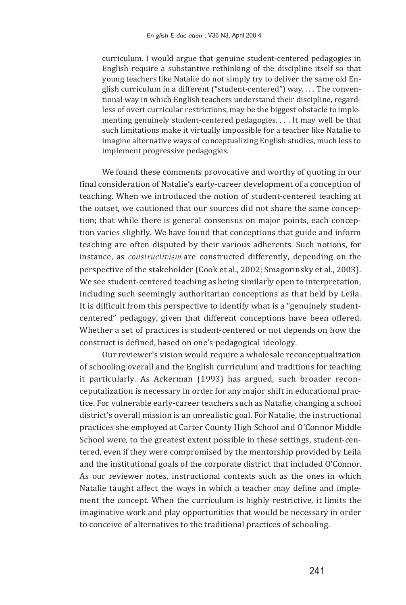curriculum. I would argue that genuine student-centered pedagogies in English require a substantive rethinking of the discipline itself so that young teachers like Natalie do not simply try to deliver the same old English curriculum in a different ("student-centered") way. . . . The conventional way in which English teachers understand their discipline, regardless of overt curricular restrictions, may be the biggest obstacle to implementing genuinely student-centered pedagogies. . . . It may well be that such limitations make it virtually impossible for a teacher like Natalie to imagine alternative ways of conceptualizing English studies, much less to implement progressive pedagogies.

We found these comments provocative and worthy of quoting in our final consideration of Natalie's early-career development of a conception of teaching. When we introduced the notion of student-centered teaching at the outset, we cautioned that our sources did not share the same conception; that while there is general consensus on major points, each conception varies slightly. We have found that conceptions that guide and inform teaching are often disputed by their various adherents. Such notions, for instance, as *constructivism* are constructed differently, depending on the perspective of the stakeholder (Cook et al., 2002; Smagorinsky et al., 2003). We see student-centered teaching as being similarly open to interpretation, including such seemingly authoritarian conceptions as that held by Leila. It is difficult from this perspective to identify what is a "genuinely studentcentered" pedagogy, given that different conceptions have been offered. Whether a set of practices is student-centered or not depends on how the construct is defined, based on one's pedagogical ideology.

Our reviewer's vision would require a wholesale reconceptualization of schooling overall and the English curriculum and traditions for teaching it particularly. As Ackerman (1993) has argued, such broader reconceputalization is necessary in order for any major shift in educational practice. For vulnerable early-career teachers such as Natalie, changing a school district's overall mission is an unrealistic goal. For Natalie, the instructional practices she employed at Carter County High School and O'Connor Middle School were, to the greatest extent possible in these settings, student-centered, even if they were compromised by the mentorship provided by Leila and the institutional goals of the corporate district that included O'Connor. As our reviewer notes, instructional contexts such as the ones in which Natalie taught affect the ways in which a teacher may define and implement the concept. When the curriculum is highly restrictive, it limits the imaginative work and play opportunities that would be necessary in order to conceive of alternatives to the traditional practices of schooling.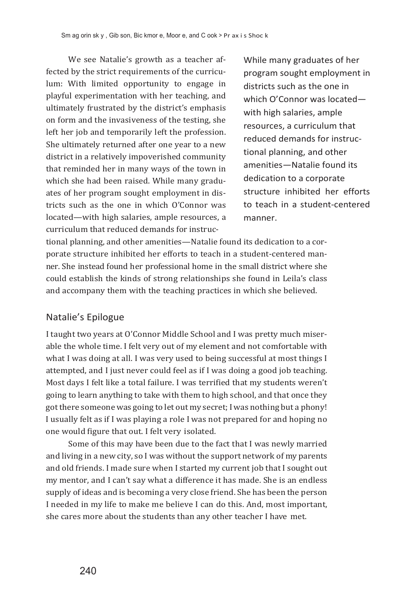We see Natalie's growth as a teacher affected by the strict requirements of the curriculum: With limited opportunity to engage in playful experimentation with her teaching, and ultimately frustrated by the district's emphasis on form and the invasiveness of the testing, she left her job and temporarily left the profession. She ultimately returned after one year to a new district in a relatively impoverished community that reminded her in many ways of the town in which she had been raised. While many graduates of her program sought employment in districts such as the one in which O'Connor was located—with high salaries, ample resources, a curriculum that reduced demands for instrucWhile many graduates of her program sought employment in districts such as the one in which O'Connor was located with high salaries, ample resources, a curriculum that reduced demands for instructional planning, and other amenities—Natalie found its dedication to a corporate structure inhibited her efforts to teach in a student-centered manner.

tional planning, and other amenities—Natalie found its dedication to a corporate structure inhibited her efforts to teach in a student-centered manner. She instead found her professional home in the small district where she could establish the kinds of strong relationships she found in Leila's class and accompany them with the teaching practices in which she believed.

### Natalie's Epilogue

I taught two years at O'Connor Middle School and I was pretty much miserable the whole time. I felt very out of my element and not comfortable with what I was doing at all. I was very used to being successful at most things I attempted, and I just never could feel as if I was doing a good job teaching. Most days I felt like a total failure. I was terrified that my students weren't going to learn anything to take with them to high school, and that once they got there someone was going to let out my secret; I was nothing but a phony! I usually felt as if I was playing a role I was not prepared for and hoping no one would figure that out. I felt very isolated.

Some of this may have been due to the fact that I was newly married and living in a new city, so I was without the support network of my parents and old friends. I made sure when I started my current job that I sought out my mentor, and I can't say what a difference it has made. She is an endless supply of ideas and is becoming a very close friend. She has been the person I needed in my life to make me believe I can do this. And, most important, she cares more about the students than any other teacher I have met.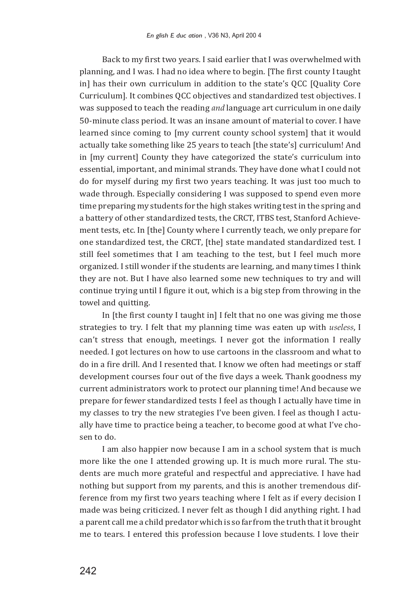Back to my first two years. I said earlier that I was overwhelmed with planning, and I was. I had no idea where to begin. [The first county Itaught in] has their own curriculum in addition to the state's QCC [Quality Core Curriculum]. It combines QCC objectives and standardized test objectives. I was supposed to teach the reading *and* language art curriculum in one daily 50-minute class period. It was an insane amount of material to cover. I have learned since coming to [my current county school system] that it would actually take something like 25 years to teach [the state's] curriculum! And in [my current] County they have categorized the state's curriculum into essential, important, and minimal strands. They have done what I could not do for myself during my first two years teaching. It was just too much to wade through. Especially considering I was supposed to spend even more time preparing my students for the high stakes writing test in the spring and a battery of other standardized tests, the CRCT, ITBS test, Stanford Achievement tests, etc. In [the] County where I currently teach, we only prepare for one standardized test, the CRCT, [the] state mandated standardized test. I still feel sometimes that I am teaching to the test, but I feel much more organized. I still wonder if the students are learning, and many times I think they are not. But I have also learned some new techniques to try and will continue trying until I figure it out, which is a big step from throwing in the towel and quitting.

In [the first county I taught in] I felt that no one was giving me those strategies to try. I felt that my planning time was eaten up with *useless*, I can't stress that enough, meetings. I never got the information I really needed. I got lectures on how to use cartoons in the classroom and what to do in a fire drill. And I resented that. I know we often had meetings or staff development courses four out of the five days a week. Thank goodness my current administrators work to protect our planning time! And because we prepare for fewer standardized tests I feel as though I actually have time in my classes to try the new strategies I've been given. I feel as though I actually have time to practice being a teacher, to become good at what I've chosen to do.

I am also happier now because I am in a school system that is much more like the one I attended growing up. It is much more rural. The students are much more grateful and respectful and appreciative. I have had nothing but support from my parents, and this is another tremendous difference from my first two years teaching where I felt as if every decision I made was being criticized. I never felt as though I did anything right. I had a parent call me a child predator which is so far from the truth that it brought me to tears. I entered this profession because I love students. I love their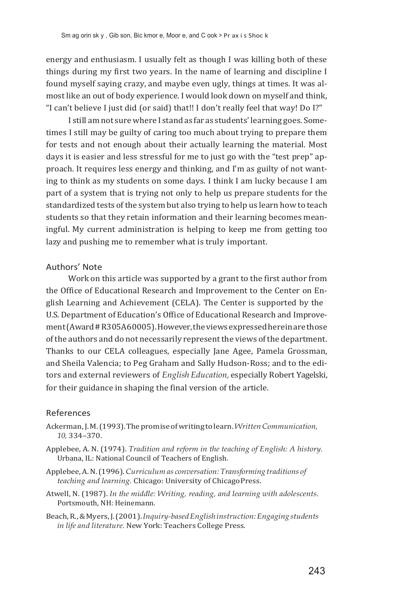energy and enthusiasm. I usually felt as though I was killing both of these things during my first two years. In the name of learning and discipline I found myself saying crazy, and maybe even ugly, things at times. It was almost like an out of body experience. I would look down on myself and think, "I can't believe I just did (or said) that!! I don't really feel that way! Do I?"

I still am not sure where I stand as far as students' learning goes. Sometimes I still may be guilty of caring too much about trying to prepare them for tests and not enough about their actually learning the material. Most days it is easier and less stressful for me to just go with the "test prep" approach. It requires less energy and thinking, and I'm as guilty of not wanting to think as my students on some days. I think I am lucky because I am part of a system that is trying not only to help us prepare students for the standardized tests of the system but also trying to help us learn how to teach students so that they retain information and their learning becomes meaningful. My current administration is helping to keep me from getting too lazy and pushing me to remember what is truly important.

#### Authors' Note

Work on this article was supported by a grant to the first author from the Office of Educational Research and Improvement to the Center on English Learning and Achievement (CELA). The Center is supported by the U.S. Department of Education's Office of Educational Research and Improvement(Award # R305A60005).However,theviewsexpressedhereinarethose of the authors and do not necessarily represent the views of the department. Thanks to our CELA colleagues, especially Jane Agee, Pamela Grossman, and Sheila Valencia; to Peg Graham and Sally Hudson-Ross; and to the editors and external reviewers of *English Education,* especially Robert Yagelski, for their guidance in shaping the final version of the article.

#### References

- Ackerman,J.M.(1993).Thepromise of writingtolearn.*WrittenCommunication, 10,* 334–370.
- Applebee, A. N. (1974). *Tradition and reform in the teaching of English: A history.* Urbana, IL: National Council of Teachers of English.
- Applebee,A.N.(1996).*Curriculum as conversation: Transforming traditions of teaching and learning.* Chicago: University of ChicagoPress.
- Atwell, N. (1987). *In the middle: Writing, reading, and learning with adolescents.* Portsmouth, NH: Heinemann.
- Beach,R., & Myers,J.(2001).*Inquiry-basedEnglishinstruction: Engaging students in life and literature.* New York: Teachers College Press.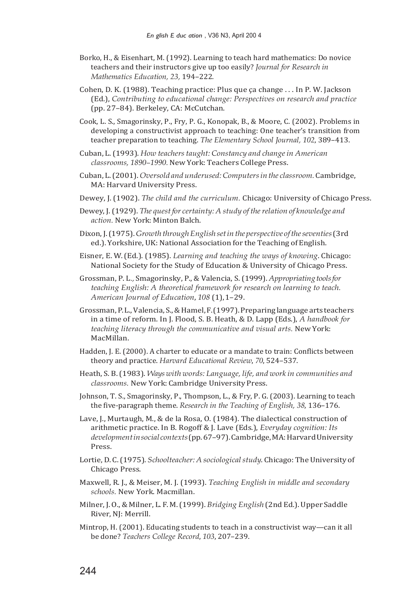- Borko, H., & Eisenhart, M. (1992). Learning to teach hard mathematics: Do novice teachers and their instructors give up too easily? *Journal for Research in Mathematics Education, 23,* 194–222.
- Cohen, D. K. (1988). Teaching practice: Plus que ça change . . . In P. W. Jackson (Ed.), *Contributing to educational change: Perspectives on research and practice*  (pp. 27–84). Berkeley, CA: McCutchan.
- Cook, L. S., Smagorinsky, P., Fry, P. G., Konopak, B., & Moore, C. (2002). Problems in developing a constructivist approach to teaching: One teacher's transition from teacher preparation to teaching. *The Elementary School Journal, 102*, 389–413.
- Cuban, L.(1993). *How teacherstaught: Constancy and changein American classrooms, 1890–1990.*New York: Teachers College Press.
- Cuban, L.(2001).*Oversold and underused:Computersinthe classroom.* Cambridge, MA: Harvard University Press.
- Dewey, J. (1902). *The child and the curriculum.* Chicago: University of Chicago Press.
- Dewey, J.(1929). *The quest for certainty: A study of the relation of knowledge and action.* New York: Minton Balch.
- Dixon,J.(1975).*Growth through English set in the perspective oftheseventies*(3rd ed.). Yorkshire, UK: National Association for the Teaching of English.
- Eisner, E. W. (Ed.). (1985). *Learning and teaching the ways of knowing*. Chicago: National Society for the Study of Education & University of Chicago Press.
- Grossman, P. L*.,* Smagorinsky, P., & Valencia, S.(1999). *Appropriating toolsfor teaching English: A theoretical framework for research on learning to teach. American Journal of Education*, *108* (1), 1–29.
- Grossman,P.L.,Valencia, S., & Hamel,F.(1997).Preparinglanguage arts teachers in a time of reform. In J. Flood, S. B. Heath, & D. Lapp (Eds.), *A handbook for teaching literacy through the communicative and visual arts.* New York: MacMillan.
- Hadden, J. E. (2000). A charter to educate or a mandate to train: Conflicts between theory and practice. *Harvard Educational Review*, *70*, 524–537.
- Heath, S. B.(1983). *Ways with words: Language, life, and work in communities and classrooms.* New York: Cambridge University Press.
- Johnson, T. S., Smagorinsky, P., Thompson, L., & Fry, P. G. (2003). Learning to teach the five-paragraph theme. *Research in the Teaching of English, 38*, 136–176.
- Lave, J., Murtaugh, M., & de la Rosa, O. (1984). The dialectical construction of arithmetic practice. In B. Rogoff & J. Lave (Eds.), *Everyday cognition: Its developmentin social contexts*(pp.67–97).Cambridge,MA:HarvardUniversity Press.
- Lortie, D. C. (1975). *Schoolteacher: A sociological study*. Chicago: The University of Chicago Press.
- Maxwell, R. J., & Meiser, M. J. (1993). *Teaching English in middle and secondary schools.* New York. Macmillan.
- Milner, J. O., & Milner, L. F.M.(1999). *Bridging English* (2nd Ed.).Upper Saddle River, NJ: Merrill.
- Mintrop, H. (2001). Educating students to teach in a constructivist way—can it all be done? *Teachers College Record*, *103*, 207–239.